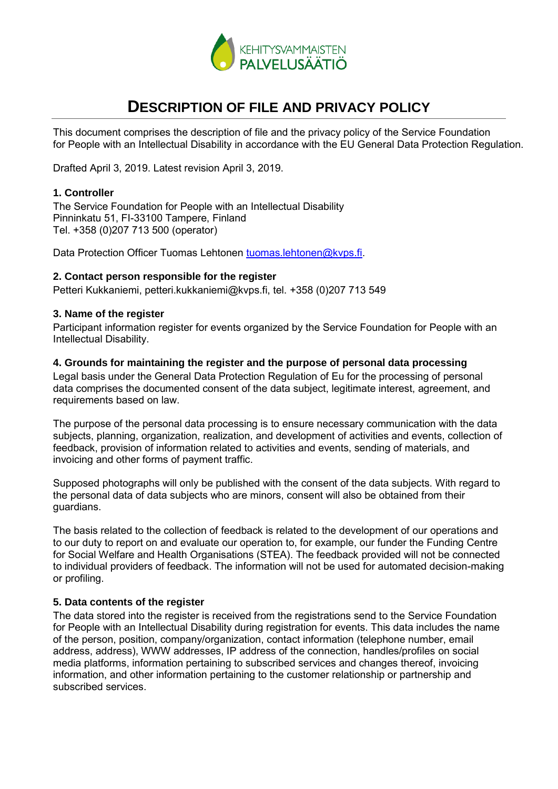

# **DESCRIPTION OF FILE AND PRIVACY POLICY**

This document comprises the description of file and the privacy policy of the Service Foundation for People with an Intellectual Disability in accordance with the EU General Data Protection Regulation.

Drafted April 3, 2019. Latest revision April 3, 2019.

## **1. Controller**

The Service Foundation for People with an Intellectual Disability Pinninkatu 51, FI-33100 Tampere, Finland Tel. +358 (0)207 713 500 (operator)

Data Protection Officer Tuomas Lehtonen [tuomas.lehtonen@kvps.fi.](mailto:tuomas.lehtonen@kvps.fi)

# **2. Contact person responsible for the register**

Petteri Kukkaniemi, petteri.kukkaniemi@kvps.fi, tel. +358 (0)207 713 549

## **3. Name of the register**

Participant information register for events organized by the Service Foundation for People with an Intellectual Disability.

#### **4. Grounds for maintaining the register and the purpose of personal data processing**

Legal basis under the General Data Protection Regulation of Eu for the processing of personal data comprises the documented consent of the data subject, legitimate interest, agreement, and requirements based on law.

The purpose of the personal data processing is to ensure necessary communication with the data subjects, planning, organization, realization, and development of activities and events, collection of feedback, provision of information related to activities and events, sending of materials, and invoicing and other forms of payment traffic.

Supposed photographs will only be published with the consent of the data subjects. With regard to the personal data of data subjects who are minors, consent will also be obtained from their guardians.

The basis related to the collection of feedback is related to the development of our operations and to our duty to report on and evaluate our operation to, for example, our funder the Funding Centre for Social Welfare and Health Organisations (STEA). The feedback provided will not be connected to individual providers of feedback. The information will not be used for automated decision-making or profiling.

## **5. Data contents of the register**

The data stored into the register is received from the registrations send to the Service Foundation for People with an Intellectual Disability during registration for events. This data includes the name of the person, position, company/organization, contact information (telephone number, email address, address), WWW addresses, IP address of the connection, handles/profiles on social media platforms, information pertaining to subscribed services and changes thereof, invoicing information, and other information pertaining to the customer relationship or partnership and subscribed services.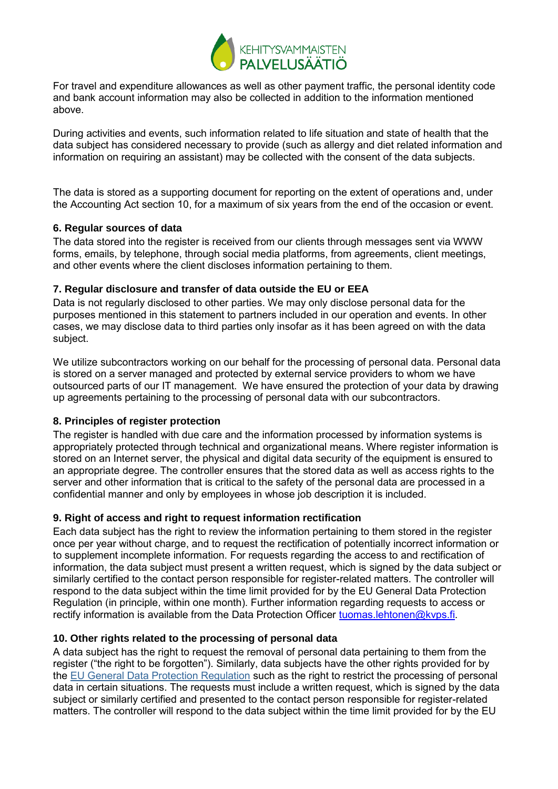

For travel and expenditure allowances as well as other payment traffic, the personal identity code and bank account information may also be collected in addition to the information mentioned above.

During activities and events, such information related to life situation and state of health that the data subject has considered necessary to provide (such as allergy and diet related information and information on requiring an assistant) may be collected with the consent of the data subjects.

The data is stored as a supporting document for reporting on the extent of operations and, under the Accounting Act section 10, for a maximum of six years from the end of the occasion or event.

## **6. Regular sources of data**

The data stored into the register is received from our clients through messages sent via WWW forms, emails, by telephone, through social media platforms, from agreements, client meetings, and other events where the client discloses information pertaining to them.

#### **7. Regular disclosure and transfer of data outside the EU or EEA**

Data is not regularly disclosed to other parties. We may only disclose personal data for the purposes mentioned in this statement to partners included in our operation and events. In other cases, we may disclose data to third parties only insofar as it has been agreed on with the data subject.

We utilize subcontractors working on our behalf for the processing of personal data. Personal data is stored on a server managed and protected by external service providers to whom we have outsourced parts of our IT management. We have ensured the protection of your data by drawing up agreements pertaining to the processing of personal data with our subcontractors.

## **8. Principles of register protection**

The register is handled with due care and the information processed by information systems is appropriately protected through technical and organizational means. Where register information is stored on an Internet server, the physical and digital data security of the equipment is ensured to an appropriate degree. The controller ensures that the stored data as well as access rights to the server and other information that is critical to the safety of the personal data are processed in a confidential manner and only by employees in whose job description it is included.

## **9. Right of access and right to request information rectification**

Each data subject has the right to review the information pertaining to them stored in the register once per year without charge, and to request the rectification of potentially incorrect information or to supplement incomplete information. For requests regarding the access to and rectification of information, the data subject must present a written request, which is signed by the data subject or similarly certified to the contact person responsible for register-related matters. The controller will respond to the data subject within the time limit provided for by the EU General Data Protection Regulation (in principle, within one month). Further information regarding requests to access or rectify information is available from the Data Protection Officer [tuomas.lehtonen@kvps.fi.](mailto:tuomas.lehtonen@kvps.fi)

## **10. Other rights related to the processing of personal data**

A data subject has the right to request the removal of personal data pertaining to them from the register ("the right to be forgotten"). Similarly, data subjects have the other rights provided for by the [EU General Data Protection Regulation](https://eur-lex.europa.eu/legal-content/EN/TXT/?uri=CELEX:32016R0679#d1e2144-1-1) such as the right to restrict the processing of personal data in certain situations. The requests must include a written request, which is signed by the data subject or similarly certified and presented to the contact person responsible for register-related matters. The controller will respond to the data subject within the time limit provided for by the EU